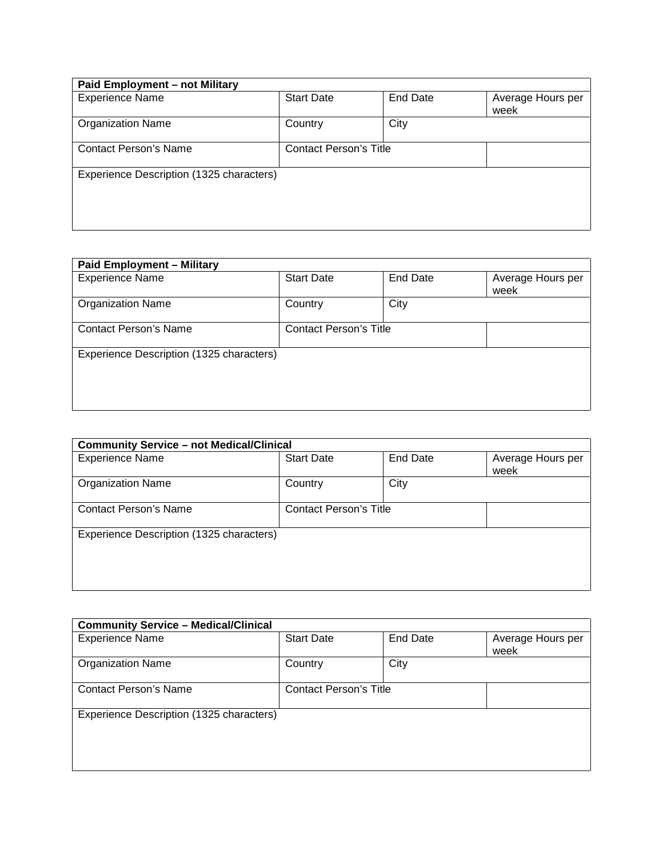| Paid Employment - not Military           |                               |                 |                           |  |
|------------------------------------------|-------------------------------|-----------------|---------------------------|--|
| <b>Experience Name</b>                   | <b>Start Date</b>             | <b>End Date</b> | Average Hours per<br>week |  |
| <b>Organization Name</b>                 | Country                       | City            |                           |  |
| <b>Contact Person's Name</b>             | <b>Contact Person's Title</b> |                 |                           |  |
| Experience Description (1325 characters) |                               |                 |                           |  |

| <b>Paid Employment - Military</b>        |                               |          |                           |
|------------------------------------------|-------------------------------|----------|---------------------------|
| <b>Experience Name</b>                   | <b>Start Date</b>             | End Date | Average Hours per<br>week |
| <b>Organization Name</b>                 | Country                       | City     |                           |
| <b>Contact Person's Name</b>             | <b>Contact Person's Title</b> |          |                           |
| Experience Description (1325 characters) |                               |          |                           |

| <b>Community Service - not Medical/Clinical</b> |                               |          |                           |  |
|-------------------------------------------------|-------------------------------|----------|---------------------------|--|
| <b>Experience Name</b>                          | <b>Start Date</b>             | End Date | Average Hours per<br>week |  |
| <b>Organization Name</b>                        | Country                       | City     |                           |  |
| <b>Contact Person's Name</b>                    | <b>Contact Person's Title</b> |          |                           |  |
| Experience Description (1325 characters)        |                               |          |                           |  |

| <b>Community Service - Medical/Clinical</b> |                               |                 |                           |
|---------------------------------------------|-------------------------------|-----------------|---------------------------|
| <b>Experience Name</b>                      | <b>Start Date</b>             | <b>End Date</b> | Average Hours per<br>week |
| <b>Organization Name</b>                    | Country                       | City            |                           |
| <b>Contact Person's Name</b>                | <b>Contact Person's Title</b> |                 |                           |
| Experience Description (1325 characters)    |                               |                 |                           |
|                                             |                               |                 |                           |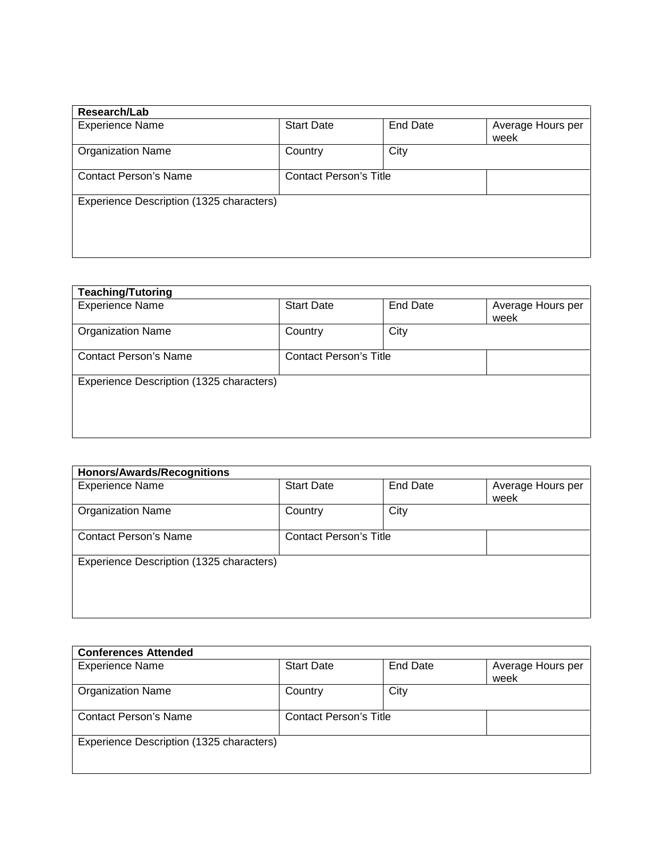| Research/Lab                             |                               |                 |                           |
|------------------------------------------|-------------------------------|-----------------|---------------------------|
| <b>Experience Name</b>                   | <b>Start Date</b>             | <b>End Date</b> | Average Hours per<br>week |
| <b>Organization Name</b>                 | Country                       | City            |                           |
| <b>Contact Person's Name</b>             | <b>Contact Person's Title</b> |                 |                           |
| Experience Description (1325 characters) |                               |                 |                           |
|                                          |                               |                 |                           |

| <b>Teaching/Tutoring</b>                 |                               |                 |                   |
|------------------------------------------|-------------------------------|-----------------|-------------------|
| <b>Experience Name</b>                   | <b>Start Date</b>             | <b>End Date</b> | Average Hours per |
|                                          |                               |                 | week              |
| <b>Organization Name</b>                 | Country                       | City            |                   |
| <b>Contact Person's Name</b>             | <b>Contact Person's Title</b> |                 |                   |
| Experience Description (1325 characters) |                               |                 |                   |
|                                          |                               |                 |                   |
|                                          |                               |                 |                   |

| <b>Honors/Awards/Recognitions</b>        |                               |          |                           |  |
|------------------------------------------|-------------------------------|----------|---------------------------|--|
| <b>Experience Name</b>                   | <b>Start Date</b>             | End Date | Average Hours per<br>week |  |
| <b>Organization Name</b>                 | Country                       | City     |                           |  |
| <b>Contact Person's Name</b>             | <b>Contact Person's Title</b> |          |                           |  |
| Experience Description (1325 characters) |                               |          |                           |  |

| <b>Conferences Attended</b>              |                               |          |                           |
|------------------------------------------|-------------------------------|----------|---------------------------|
| <b>Experience Name</b>                   | <b>Start Date</b>             | End Date | Average Hours per<br>week |
| <b>Organization Name</b>                 | Country                       | City     |                           |
| Contact Person's Name                    | <b>Contact Person's Title</b> |          |                           |
| Experience Description (1325 characters) |                               |          |                           |
|                                          |                               |          |                           |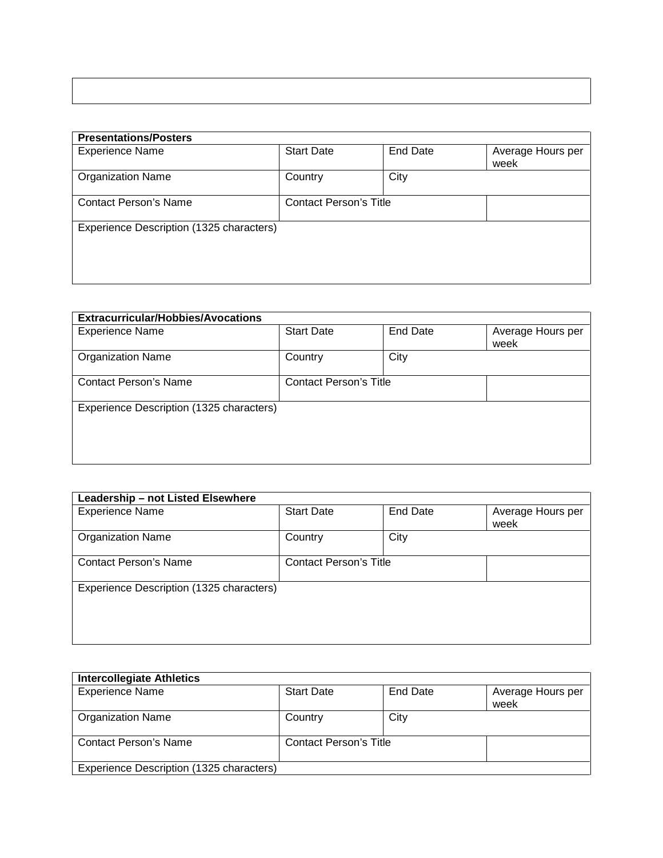| <b>Presentations/Posters</b>             |                               |                 |                           |
|------------------------------------------|-------------------------------|-----------------|---------------------------|
| <b>Experience Name</b>                   | <b>Start Date</b>             | <b>End Date</b> | Average Hours per<br>week |
| <b>Organization Name</b>                 | Country                       | City            |                           |
| <b>Contact Person's Name</b>             | <b>Contact Person's Title</b> |                 |                           |
| Experience Description (1325 characters) |                               |                 |                           |
|                                          |                               |                 |                           |

| <b>Extracurricular/Hobbies/Avocations</b> |                               |                 |                           |  |  |
|-------------------------------------------|-------------------------------|-----------------|---------------------------|--|--|
| <b>Experience Name</b>                    | <b>Start Date</b>             | <b>End Date</b> | Average Hours per<br>week |  |  |
| <b>Organization Name</b>                  | Country                       | City            |                           |  |  |
| <b>Contact Person's Name</b>              | <b>Contact Person's Title</b> |                 |                           |  |  |
| Experience Description (1325 characters)  |                               |                 |                           |  |  |
|                                           |                               |                 |                           |  |  |

| Leadership - not Listed Elsewhere        |                               |                 |                           |
|------------------------------------------|-------------------------------|-----------------|---------------------------|
| <b>Experience Name</b>                   | <b>Start Date</b>             | <b>End Date</b> | Average Hours per<br>week |
| <b>Organization Name</b>                 | Country                       | City            |                           |
| <b>Contact Person's Name</b>             | <b>Contact Person's Title</b> |                 |                           |
| Experience Description (1325 characters) |                               |                 |                           |

| <b>Intercollegiate Athletics</b>         |                               |          |                           |
|------------------------------------------|-------------------------------|----------|---------------------------|
| <b>Experience Name</b>                   | <b>Start Date</b>             | End Date | Average Hours per<br>week |
| <b>Organization Name</b>                 | Country                       | City     |                           |
| Contact Person's Name                    | <b>Contact Person's Title</b> |          |                           |
| Experience Description (1325 characters) |                               |          |                           |